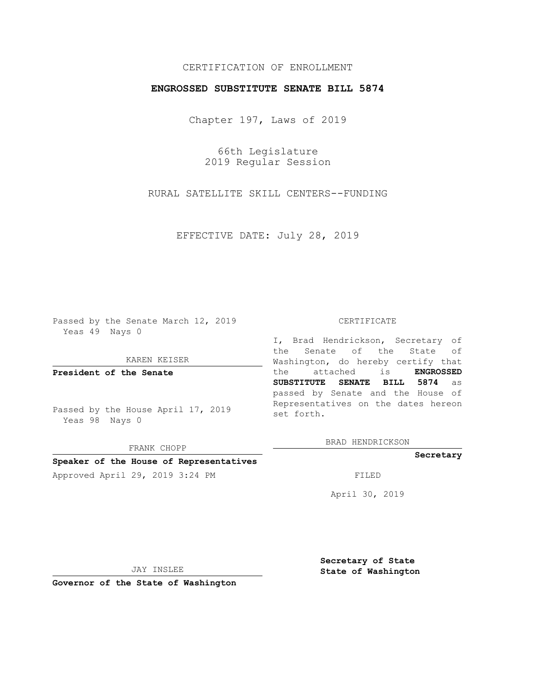# CERTIFICATION OF ENROLLMENT

## **ENGROSSED SUBSTITUTE SENATE BILL 5874**

Chapter 197, Laws of 2019

66th Legislature 2019 Regular Session

RURAL SATELLITE SKILL CENTERS--FUNDING

EFFECTIVE DATE: July 28, 2019

Passed by the Senate March 12, 2019 Yeas 49 Nays 0

KAREN KEISER

**President of the Senate**

Passed by the House April 17, 2019 Yeas 98 Nays 0

FRANK CHOPP

### **Speaker of the House of Representatives**

Approved April 29, 2019 3:24 PM FILED

#### CERTIFICATE

I, Brad Hendrickson, Secretary of the Senate of the State of Washington, do hereby certify that the attached is **ENGROSSED SUBSTITUTE SENATE BILL 5874** as passed by Senate and the House of Representatives on the dates hereon set forth.

BRAD HENDRICKSON

#### **Secretary**

April 30, 2019

JAY INSLEE

**Governor of the State of Washington**

**Secretary of State State of Washington**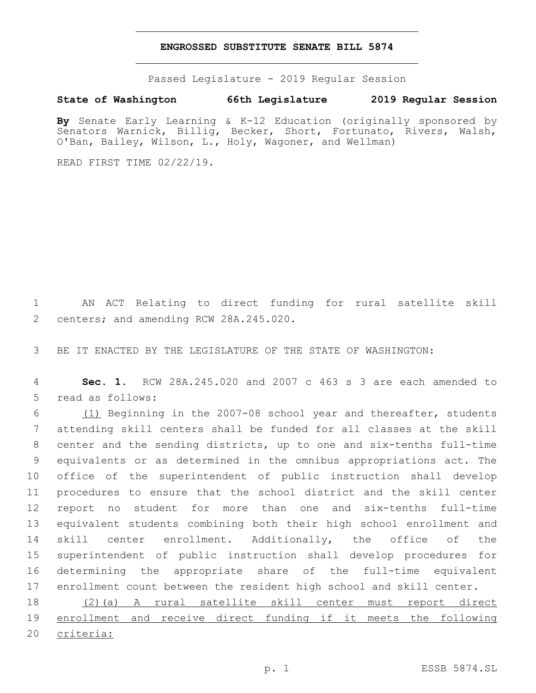### **ENGROSSED SUBSTITUTE SENATE BILL 5874**

Passed Legislature - 2019 Regular Session

**State of Washington 66th Legislature 2019 Regular Session**

**By** Senate Early Learning & K-12 Education (originally sponsored by Senators Warnick, Billig, Becker, Short, Fortunato, Rivers, Walsh, O'Ban, Bailey, Wilson, L., Holy, Wagoner, and Wellman)

READ FIRST TIME 02/22/19.

 AN ACT Relating to direct funding for rural satellite skill 2 centers; and amending RCW 28A.245.020.

BE IT ENACTED BY THE LEGISLATURE OF THE STATE OF WASHINGTON:

 **Sec. 1.** RCW 28A.245.020 and 2007 c 463 s 3 are each amended to 5 read as follows:

 (1) Beginning in the 2007-08 school year and thereafter, students attending skill centers shall be funded for all classes at the skill center and the sending districts, up to one and six-tenths full-time equivalents or as determined in the omnibus appropriations act. The office of the superintendent of public instruction shall develop procedures to ensure that the school district and the skill center report no student for more than one and six-tenths full-time equivalent students combining both their high school enrollment and skill center enrollment. Additionally, the office of the superintendent of public instruction shall develop procedures for determining the appropriate share of the full-time equivalent enrollment count between the resident high school and skill center.

 (2)(a) A rural satellite skill center must report direct enrollment and receive direct funding if it meets the following criteria: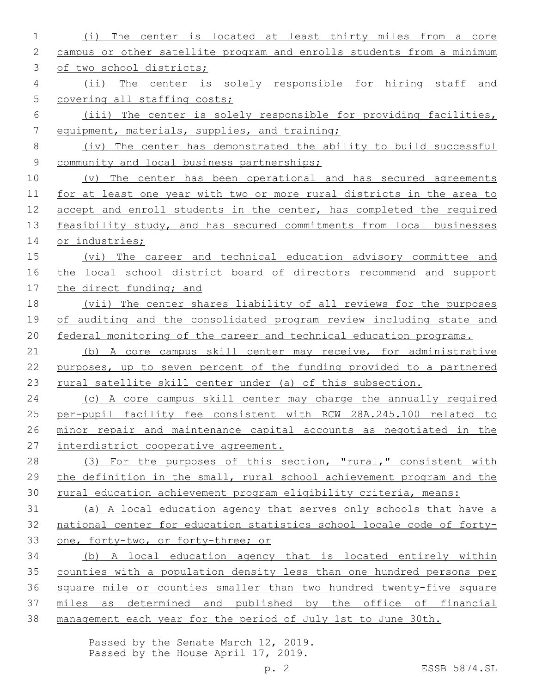(i) The center is located at least thirty miles from a core campus or other satellite program and enrolls students from a minimum of two school districts; (ii) The center is solely responsible for hiring staff and 5 covering all staffing costs; (iii) The center is solely responsible for providing facilities, equipment, materials, supplies, and training; (iv) The center has demonstrated the ability to build successful community and local business partnerships; (v) The center has been operational and has secured agreements for at least one year with two or more rural districts in the area to accept and enroll students in the center, has completed the required 13 feasibility study, and has secured commitments from local businesses or industries; (vi) The career and technical education advisory committee and the local school district board of directors recommend and support 17 the direct funding; and (vii) The center shares liability of all reviews for the purposes of auditing and the consolidated program review including state and federal monitoring of the career and technical education programs. 21 (b) A core campus skill center may receive, for administrative purposes, up to seven percent of the funding provided to a partnered rural satellite skill center under (a) of this subsection. (c) A core campus skill center may charge the annually required per-pupil facility fee consistent with RCW 28A.245.100 related to minor repair and maintenance capital accounts as negotiated in the interdistrict cooperative agreement. (3) For the purposes of this section, "rural," consistent with the definition in the small, rural school achievement program and the rural education achievement program eligibility criteria, means: (a) A local education agency that serves only schools that have a national center for education statistics school locale code of forty- one, forty-two, or forty-three; or (b) A local education agency that is located entirely within counties with a population density less than one hundred persons per square mile or counties smaller than two hundred twenty-five square miles as determined and published by the office of financial management each year for the period of July 1st to June 30th.

> Passed by the Senate March 12, 2019. Passed by the House April 17, 2019.